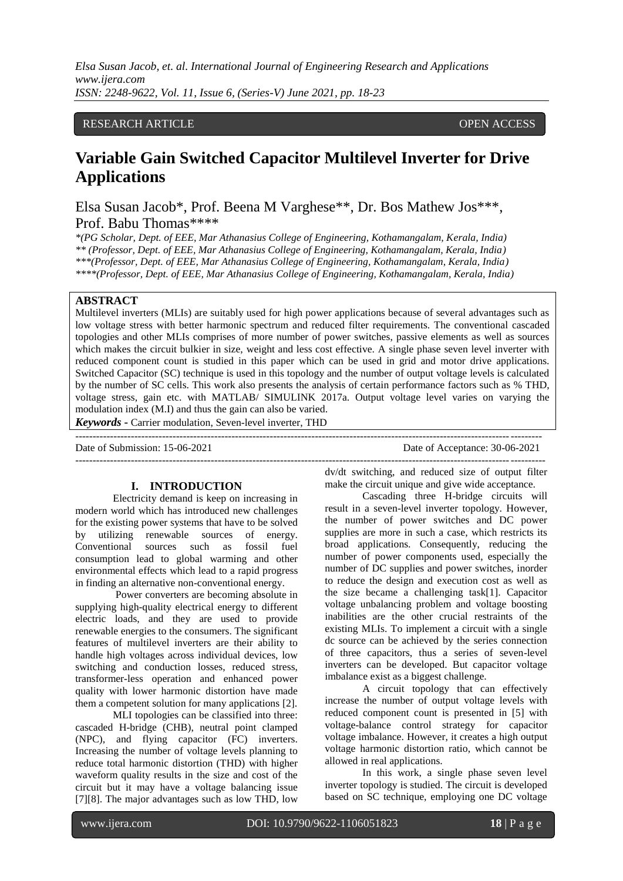*Elsa Susan Jacob, et. al. International Journal of Engineering Research and Applications www.ijera.com ISSN: 2248-9622, Vol. 11, Issue 6, (Series-V) June 2021, pp. 18-23*

# RESEARCH ARTICLE **CONSERVERS** OPEN ACCESS

# **Variable Gain Switched Capacitor Multilevel Inverter for Drive Applications**

Elsa Susan Jacob\*, Prof. Beena M Varghese\*\*, Dr. Bos Mathew Jos\*\*\*, Prof. Babu Thomas\*\*\*\*

*\*(PG Scholar, Dept. of EEE, Mar Athanasius College of Engineering, Kothamangalam, Kerala, India) \*\* (Professor, Dept. of EEE, Mar Athanasius College of Engineering, Kothamangalam, Kerala, India) \*\*\*(Professor, Dept. of EEE, Mar Athanasius College of Engineering, Kothamangalam, Kerala, India) \*\*\*\*(Professor, Dept. of EEE, Mar Athanasius College of Engineering, Kothamangalam, Kerala, India)*

### **ABSTRACT**

Multilevel inverters (MLIs) are suitably used for high power applications because of several advantages such as low voltage stress with better harmonic spectrum and reduced filter requirements. The conventional cascaded topologies and other MLIs comprises of more number of power switches, passive elements as well as sources which makes the circuit bulkier in size, weight and less cost effective. A single phase seven level inverter with reduced component count is studied in this paper which can be used in grid and motor drive applications. Switched Capacitor (SC) technique is used in this topology and the number of output voltage levels is calculated by the number of SC cells. This work also presents the analysis of certain performance factors such as % THD, voltage stress, gain etc. with MATLAB/ SIMULINK 2017a. Output voltage level varies on varying the modulation index (M.I) and thus the gain can also be varied.

*Keywords* **-** Carrier modulation, Seven-level inverter, THD --------------------------------------------------------------------------------------------------------------------------------------

Date of Submission: 15-06-2021 Date of Acceptance: 30-06-2021

---------------------------------------------------------------------------------------------------------------------------------------

# **I. INTRODUCTION**

Electricity demand is keep on increasing in modern world which has introduced new challenges for the existing power systems that have to be solved by utilizing renewable sources of energy. Conventional sources such as fossil fuel consumption lead to global warming and other environmental effects which lead to a rapid progress in finding an alternative non-conventional energy.

Power converters are becoming absolute in supplying high-quality electrical energy to different electric loads, and they are used to provide renewable energies to the consumers. The significant features of multilevel inverters are their ability to handle high voltages across individual devices, low switching and conduction losses, reduced stress, transformer-less operation and enhanced power quality with lower harmonic distortion have made them a competent solution for many applications [2].

MLI topologies can be classified into three: cascaded H-bridge (CHB), neutral point clamped (NPC), and flying capacitor (FC) inverters. Increasing the number of voltage levels planning to reduce total harmonic distortion (THD) with higher waveform quality results in the size and cost of the circuit but it may have a voltage balancing issue [7][8]. The major advantages such as low THD, low

dv/dt switching, and reduced size of output filter make the circuit unique and give wide acceptance.

Cascading three H-bridge circuits will result in a seven-level inverter topology. However, the number of power switches and DC power supplies are more in such a case, which restricts its broad applications. Consequently, reducing the number of power components used, especially the number of DC supplies and power switches, inorder to reduce the design and execution cost as well as the size became a challenging task[1]. Capacitor voltage unbalancing problem and voltage boosting inabilities are the other crucial restraints of the existing MLIs. To implement a circuit with a single dc source can be achieved by the series connection of three capacitors, thus a series of seven-level inverters can be developed. But capacitor voltage imbalance exist as a biggest challenge.

A circuit topology that can effectively increase the number of output voltage levels with reduced component count is presented in [5] with voltage-balance control strategy for capacitor voltage imbalance. However, it creates a high output voltage harmonic distortion ratio, which cannot be allowed in real applications.

In this work, a single phase seven level inverter topology is studied. The circuit is developed based on SC technique, employing one DC voltage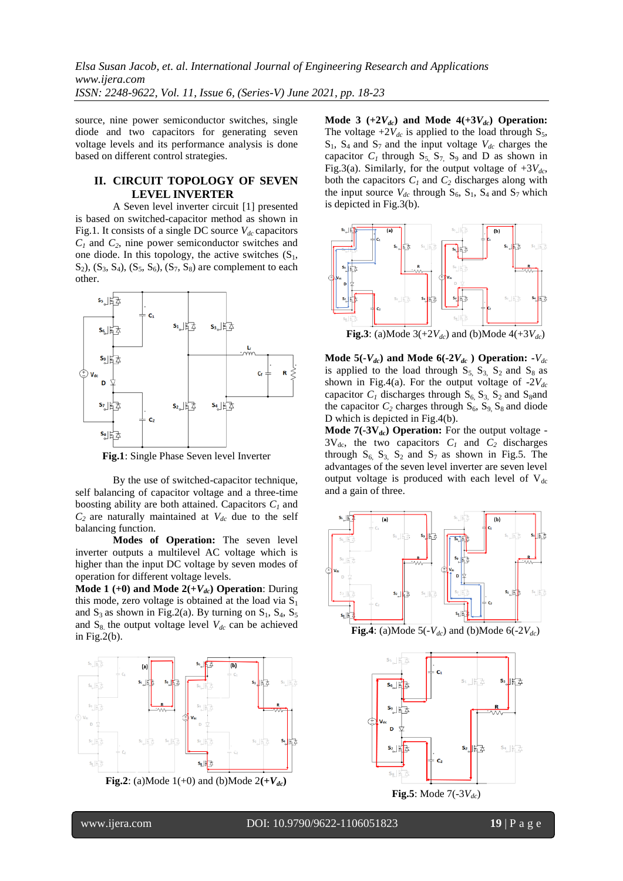source, nine power semiconductor switches, single diode and two capacitors for generating seven voltage levels and its performance analysis is done based on different control strategies.

# **II. CIRCUIT TOPOLOGY OF SEVEN LEVEL INVERTER**

A Seven level inverter circuit [1] presented is based on switched-capacitor method as shown in Fig.1. It consists of a single DC source  $V_{dc}$  capacitors *C<sup>1</sup>* and *C2*, nine power semiconductor switches and one diode. In this topology, the active switches  $(S_1,$  $S_2$ ),  $(S_3, S_4)$ ,  $(S_5, S_6)$ ,  $(S_7, S_8)$  are complement to each other.



**Fig.1**: Single Phase Seven level Inverter

By the use of switched-capacitor technique, self balancing of capacitor voltage and a three-time boosting ability are both attained. Capacitors  $C<sub>1</sub>$  and  $C_2$  are naturally maintained at  $V_{dc}$  due to the self balancing function.

**Modes of Operation:** The seven level inverter outputs a multilevel AC voltage which is higher than the input DC voltage by seven modes of operation for different voltage levels.

**Mode 1** (+0) and Mode  $2(+V_{dc})$  Operation: During this mode, zero voltage is obtained at the load via  $S_1$ and  $S_3$  as shown in Fig.2(a). By turning on  $S_1$ ,  $S_4$ ,  $S_5$ and  $S_8$  the output voltage level  $V_{dc}$  can be achieved in Fig.2 $(b)$ .



**Fig.2**: (a)Mode  $1(+0)$  and (b)Mode  $2(+V_{dc})$ 

**Mode 3**  $(+2V_{dc})$  and Mode  $4(+3V_{dc})$  Operation: The voltage  $+2V_{dc}$  is applied to the load through  $S_5$ ,  $S_1$ ,  $S_4$  and  $S_7$  and the input voltage  $V_{dc}$  charges the capacitor  $C_1$  through  $S_5$ ,  $S_7$ ,  $S_9$  and D as shown in Fig.3(a). Similarly, for the output voltage of  $+3V_{dc}$ , both the capacitors  $C_1$  and  $C_2$  discharges along with the input source  $V_{dc}$  through  $S_6$ ,  $S_1$ ,  $S_4$  and  $S_7$  which is depicted in Fig.3(b).



Mode  $5(-V_{dc})$  and Mode  $6(-2V_{dc})$  Operation:  $-V_{dc}$ is applied to the load through  $S_5$ ,  $S_3$ ,  $S_2$  and  $S_8$  as shown in Fig.4(a). For the output voltage of  $-2V_{dc}$ capacitor  $C_1$  discharges through  $S_6$ ,  $S_3$ ,  $S_2$  and  $S_8$ and the capacitor  $C_2$  charges through  $S_6$ ,  $S_9$ ,  $S_8$  and diode D which is depicted in Fig.4(b).

**Mode 7(-3V<sub>dc</sub>) Operation:** For the output voltage - $3V_{dc}$ , the two capacitors  $C_1$  and  $C_2$  discharges through  $S_6$ ,  $S_3$ ,  $S_2$  and  $S_7$  as shown in Fig.5. The advantages of the seven level inverter are seven level output voltage is produced with each level of  $V_{dc}$ and a gain of three.



**Fig.4**: (a)Mode 5(- $V_{dc}$ ) and (b)Mode 6(-2 $V_{dc}$ )

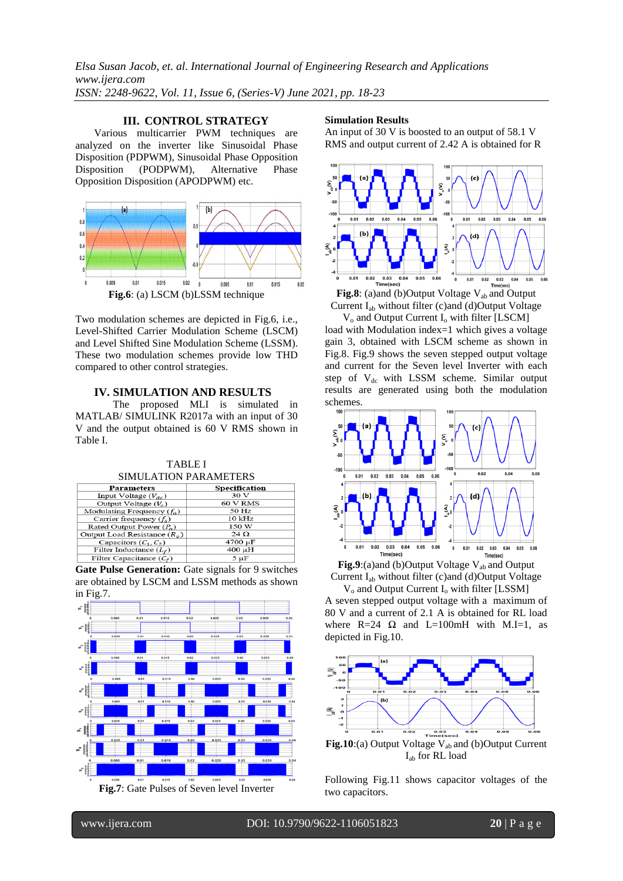*Elsa Susan Jacob, et. al. International Journal of Engineering Research and Applications www.ijera.com ISSN: 2248-9622, Vol. 11, Issue 6, (Series-V) June 2021, pp. 18-23*

# **III. CONTROL STRATEGY**

Various multicarrier PWM techniques are analyzed on the inverter like Sinusoidal Phase Disposition (PDPWM), Sinusoidal Phase Opposition Disposition (PODPWM), Alternative Phase Opposition Disposition (APODPWM) etc.



Two modulation schemes are depicted in Fig.6, i.e., Level-Shifted Carrier Modulation Scheme (LSCM) and Level Shifted Sine Modulation Scheme (LSSM). These two modulation schemes provide low THD compared to other control strategies.

#### **IV. SIMULATION AND RESULTS**

The proposed MLI is simulated in MATLAB/ SIMULINK R2017a with an input of 30 V and the output obtained is 60 V RMS shown in Table I.

| <b>SIMULATION PARAMETERS</b>  |               |  |  |  |
|-------------------------------|---------------|--|--|--|
| <b>Parameters</b>             | Specification |  |  |  |
| Input Voltage $(V_{dc})$      | 30 V          |  |  |  |
| Output Voltage $(V_0)$        | 60 V RMS      |  |  |  |
| Modulating Frequency $(f_0)$  | 50 Hz         |  |  |  |
| Carrier frequency $(f_s)$     | $10$ kHz      |  |  |  |
| Rated Output Power $(P_0)$    | 150 W         |  |  |  |
| Output Load Resistance $(Ra)$ | $24\Omega$    |  |  |  |
| Capacitors $(C_1, C_2)$       | 4700 µF       |  |  |  |
| Filter Inductance $(L_r)$     | 400 µH        |  |  |  |
| Filter Capacitance $(C_r)$    | $5 \mu F$     |  |  |  |

TABLE I

Gate Pulse Generation: Gate signals for 9 switches are obtained by LSCM and LSSM methods as shown in Fig.7.



#### **Simulation Results**

An input of 30 V is boosted to an output of 58.1 V RMS and output current of 2.42 A is obtained for R



Current Iab without filter (c)and (d)Output Voltage V<sub>o</sub> and Output Current I<sub>o</sub> with filter [LSCM]

load with Modulation index=1 which gives a voltage gain 3, obtained with LSCM scheme as shown in Fig.8. Fig.9 shows the seven stepped output voltage and current for the Seven level Inverter with each step of  $V_{dc}$  with LSSM scheme. Similar output results are generated using both the modulation schemes.



Fig.9:(a)and (b)Output Voltage V<sub>ab</sub> and Output Current Iab without filter (c)and (d)Output Voltage

 $V_0$  and Output Current  $I_0$  with filter [LSSM] A seven stepped output voltage with a maximum of 80 V and a current of 2.1 A is obtained for RL load where R=24  $\Omega$  and L=100mH with M.I=1, as depicted in Fig.10.



Following Fig.11 shows capacitor voltages of the two capacitors.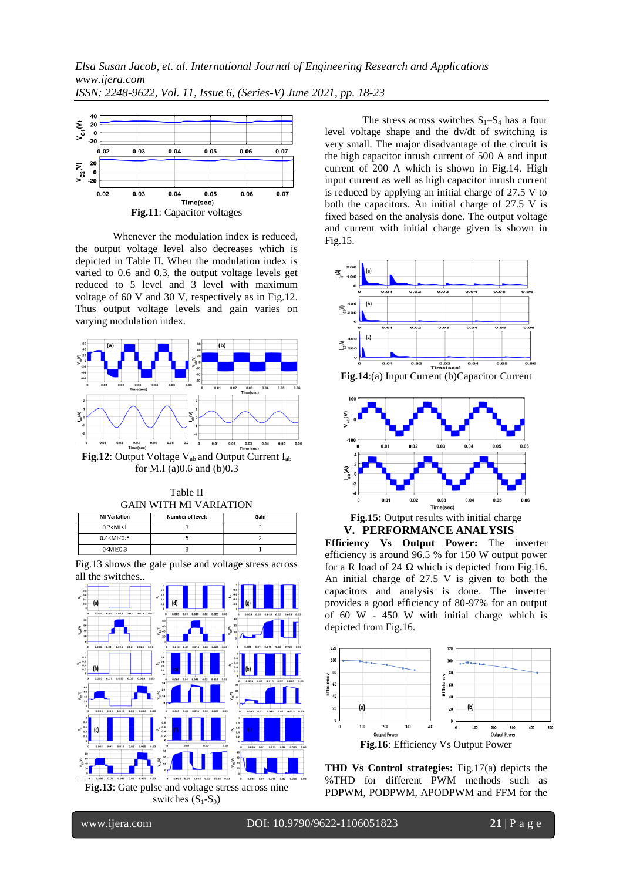

Whenever the modulation index is reduced, the output voltage level also decreases which is depicted in Table II. When the modulation index is varied to 0.6 and 0.3, the output voltage levels get reduced to 5 level and 3 level with maximum voltage of 60 V and 30 V, respectively as in Fig.12. Thus output voltage levels and gain varies on varying modulation index.



for M.I (a)0.6 and (b)0.3



| 0.7 < M <sub>1</sub> |  |
|----------------------|--|
| 0.4 < M < 0.6        |  |
| 0 < M < 0.3          |  |
|                      |  |

Fig.13 shows the gate pulse and voltage stress across all the switches..



The stress across switches  $S_1-S_4$  has a four level voltage shape and the dv/dt of switching is very small. The major disadvantage of the circuit is the high capacitor inrush current of 500 A and input current of 200 A which is shown in Fig.14. High input current as well as high capacitor inrush current is reduced by applying an initial charge of 27.5 V to both the capacitors. An initial charge of 27.5 V is fixed based on the analysis done. The output voltage and current with initial charge given is shown in Fig.15.



**Fig.14**:(a) Input Current (b)Capacitor Current





**Efficiency Vs Output Power:** The inverter efficiency is around 96.5 % for 150 W output power for a R load of 24  $\Omega$  which is depicted from Fig.16. An initial charge of 27.5 V is given to both the capacitors and analysis is done. The inverter provides a good efficiency of 80-97% for an output of 60 W - 450 W with initial charge which is depicted from Fig.16.



**THD Vs Control strategies:** Fig.17(a) depicts the %THD for different PWM methods such as PDPWM, PODPWM, APODPWM and FFM for the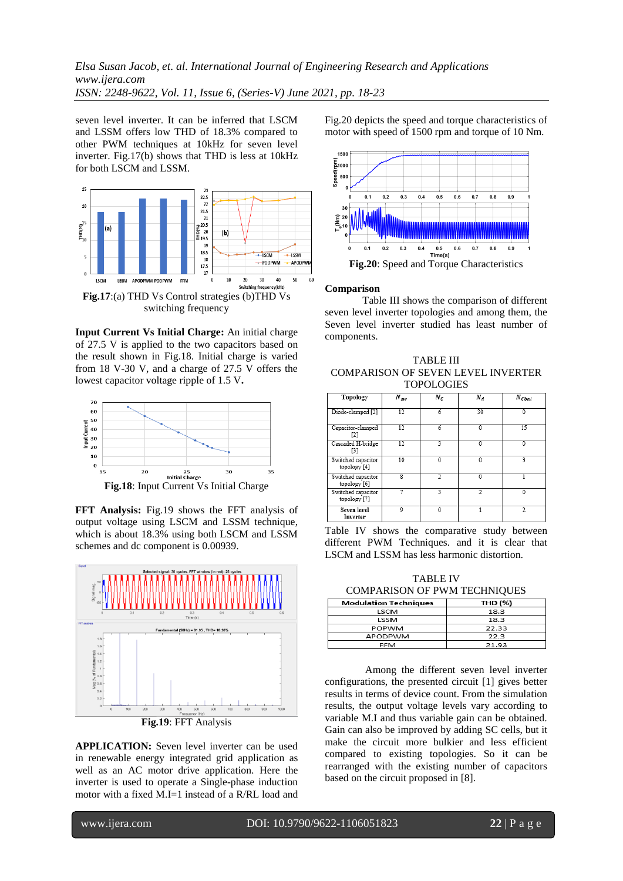*Elsa Susan Jacob, et. al. International Journal of Engineering Research and Applications www.ijera.com ISSN: 2248-9622, Vol. 11, Issue 6, (Series-V) June 2021, pp. 18-23*

seven level inverter. It can be inferred that LSCM and LSSM offers low THD of 18.3% compared to other PWM techniques at 10kHz for seven level inverter. Fig.17(b) shows that THD is less at 10kHz for both LSCM and LSSM.



switching frequency

**Input Current Vs Initial Charge:** An initial charge of 27.5 V is applied to the two capacitors based on the result shown in Fig.18. Initial charge is varied from 18 V-30 V, and a charge of 27.5 V offers the lowest capacitor voltage ripple of 1.5 V**.**



**Fig.18**: Input Current Vs Initial Charge

**FFT Analysis:** Fig.19 shows the FFT analysis of output voltage using LSCM and LSSM technique, which is about 18.3% using both LSCM and LSSM schemes and dc component is 0.00939.



**Fig.19**: FFT Analysis

**APPLICATION:** Seven level inverter can be used in renewable energy integrated grid application as well as an AC motor drive application. Here the inverter is used to operate a Single-phase induction motor with a fixed M.I=1 instead of a R/RL load and Fig.20 depicts the speed and torque characteristics of motor with speed of 1500 rpm and torque of 10 Nm.



#### **Comparison**

Table III shows the comparison of different seven level inverter topologies and among them, the Seven level inverter studied has least number of components.

TABLE III COMPARISON OF SEVEN LEVEL INVERTER **TOPOLOGIES** 

| Topology                           | $N_{sw}$ | $N_c$        | $N_d$                    | $N_{Cbal}$ |
|------------------------------------|----------|--------------|--------------------------|------------|
| Diode-clamped [2]                  | 12       | 6            | 30                       | $\theta$   |
| Capacitor-clamped<br>$\Gamma$      | 12       | 6            | 0                        | 15         |
| Cascaded H-bridge<br>[3]           | 12       | 3            | 0                        | 0          |
| Switched capacitor<br>topology [4] | 10       | $\mathbf{0}$ | 0                        |            |
| Switched capacitor<br>topology [6] | g        | C)           | 0                        |            |
| Switched capacitor<br>topology [7] |          | 3            | $\overline{\mathcal{L}}$ | 0          |
| <b>Seven level</b><br>Inverter     | 9        | 0            |                          |            |

Table IV shows the comparative study between different PWM Techniques. and it is clear that LSCM and LSSM has less harmonic distortion.

TABLE IV COMPARISON OF PWM TECHNIQUES

| <b>Modulation Techniques</b> | THD (%) |
|------------------------------|---------|
| <b>LSCM</b>                  | 18.3    |
| LSSM                         | 18.3    |
| <b>POPWM</b>                 | 22.33   |
| APODPWM                      | 22.3    |
| EEM                          | - במיד  |

Among the different seven level inverter configurations, the presented circuit [1] gives better results in terms of device count. From the simulation results, the output voltage levels vary according to variable M.I and thus variable gain can be obtained. Gain can also be improved by adding SC cells, but it make the circuit more bulkier and less efficient compared to existing topologies. So it can be rearranged with the existing number of capacitors based on the circuit proposed in [8].